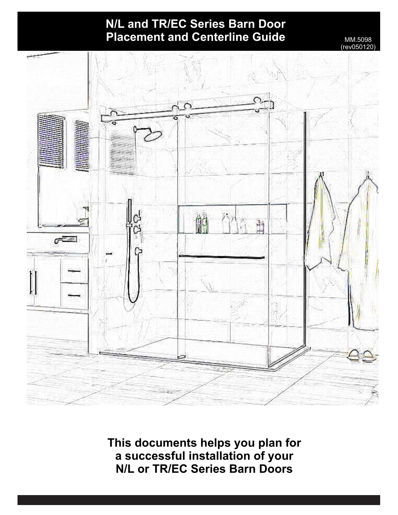# **N/L and TR/EC Series Barn Door Placement and Centerline Guide** MM.5098

 $rev05012$ 



**This documents helps you plan for a successful installation of your N/L or TR/EC Series Barn Doors**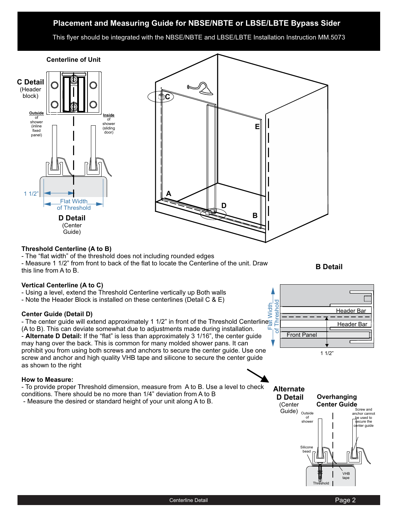# **Placement and Measuring Guide for NBSE/NBTE or LBSE/LBTE Bypass Sider**

This flyer should be integrated with the NBSE/NBTE and LBSE/LBTE Installation Instruction MM.5073

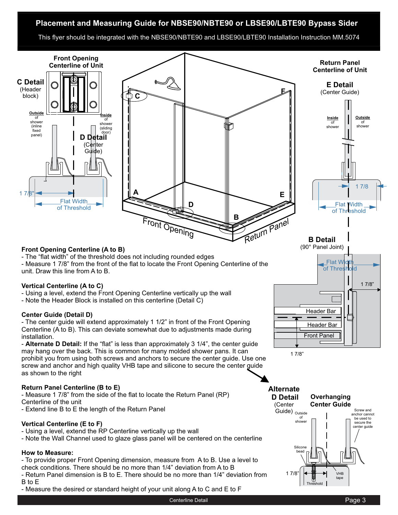# **Placement and Measuring Guide for NBSE90/NBTE90 or LBSE90/LBTE90 Bypass Sider**

This flyer should be integrated with the NBSE90/NBTE90 and LBSE90/LBTE90 Installation Instruction MM.5074

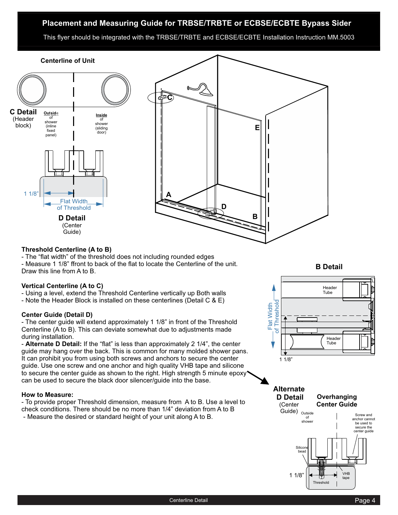## **Placement and Measuring Guide for TRBSE/TRBTE or ECBSE/ECBTE Bypass Sider**

This flyer should be integrated with the TRBSE/TRBTE and ECBSE/ECBTE Installation Instruction MM.5003



#### **Threshold Centerline (A to B)**

- The "flat width" of the threshold does not including rounded edges

- Measure 1 1/8" ffront to back of the flat to locate the Centerline of the unit. Draw this line from A to B.

#### **Vertical Centerline (A to C)**

- Using a level, extend the Threshold Centerline vertically up Both walls

- Note the Header Block is installed on these centerlines (Detail C & E)

#### **Center Guide (Detail D)**

- The center guide will extend approximately 1 1/8" in front of the Threshold Centerline (A to B). This can deviate somewhat due to adjustments made during installation.

- Alternate D Detail: If the "flat" is less than approximately 2 1/4", the center guide may hang over the back. This is common for many molded shower pans. It can prohibit you from using both screws and anchors to secure the center guide. Use one screw and one anchor and high quality VHB tape and silicone to secure the center guide as shown to the right. High strength 5 minute epoxy can be used to secure the black door silencer/guide into the base.

#### **How to Measure:**

- Measure the desired or standard height of your unit along A to B. - To provide proper Threshold dimension, measure from A to B. Use a level to check conditions. There should be no more than 1/4" deviation from A to B

**B Detail**



**Alternate D Detail** (Center



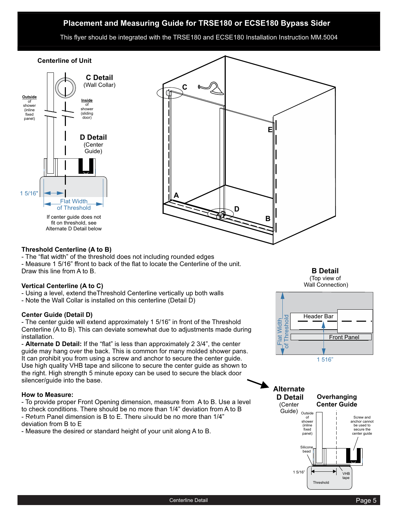## **Placement and Measuring Guide for TRSE180 or ECSE180 Bypass Sider**

This flyer should be integrated with the TRSE180 and ECSE180 Installation Instruction MM.5004



#### **Threshold Centerline (A to B)**

- The "flat width" of the threshold does not including rounded edges

- Measure 1 5/16" ffront to back of the flat to locate the Centerline of the unit. Draw this line from A to B.

## **Vertical Centerline (A to C)**

- Using a level, extend theThreshold Centerline vertically up both walls

- Note the Wall Collar is installed on this centerline (Detail D)

## **Center Guide (Detail D)**

- The center guide will extend approximately 1 5/16" in front of the Threshold Centerline (A to B). This can deviate somewhat due to adjustments made during installation.

- Alternate D Detail: If the "flat" is less than approximately 2 3/4", the center guide may hang over the back. This is common for many molded shower pans. It can prohibit you from using a screw and anchor to secure the center guide. Use high quality VHB tape and silicone to secure the center guide as shown to the right. High strength 5 minute epoxy can be used to secure the black door silencer/guide into the base.

#### **How to Measure:**

- To provide proper Front Opening dimension, measure from A to B. Use a level to check conditions. There should be no more than 1/4" deviation from A to B - Return Panel dimension is B to E. There should be no more than 1/4" Page 2 - Seturn Farier diriter<br>deviation from B to E

- Measure the desired or standard height of your unit along A to B.

**B Detail** (Top view of Wall Connection)





Outside of shower (inline fixed panel) Screw and anchor cannot be used to secure the center guide VHB tape Silicon bead **Overhanging Center Guide Alternate D Detail** (Center Guide) 1 5/16"

Threshold